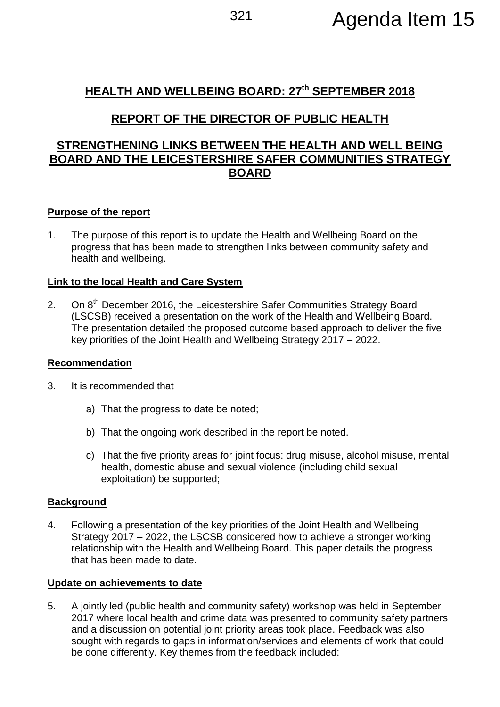# **HEALTH AND WELLBEING BOARD: 27th SEPTEMBER 2018**

# **REPORT OF THE DIRECTOR OF PUBLIC HEALTH**

## **STRENGTHENING LINKS BETWEEN THE HEALTH AND WELL BEING BOARD AND THE LEICESTERSHIRE SAFER COMMUNITIES STRATEGY BOARD**

### **Purpose of the report**

1. The purpose of this report is to update the Health and Wellbeing Board on the progress that has been made to strengthen links between community safety and health and wellbeing.

### **Link to the local Health and Care System**

2. On 8<sup>th</sup> December 2016, the Leicestershire Safer Communities Strategy Board (LSCSB) received a presentation on the work of the Health and Wellbeing Board. The presentation detailed the proposed outcome based approach to deliver the five key priorities of the Joint Health and Wellbeing Strategy 2017 – 2022.

### **Recommendation**

- 3. It is recommended that
	- a) That the progress to date be noted;
	- b) That the ongoing work described in the report be noted.
	- c) That the five priority areas for joint focus: drug misuse, alcohol misuse, mental health, domestic abuse and sexual violence (including child sexual exploitation) be supported;

### **Background**

4. Following a presentation of the key priorities of the Joint Health and Wellbeing Strategy 2017 – 2022, the LSCSB considered how to achieve a stronger working relationship with the Health and Wellbeing Board. This paper details the progress that has been made to date.

#### **Update on achievements to date**

5. A jointly led (public health and community safety) workshop was held in September 2017 where local health and crime data was presented to community safety partners and a discussion on potential joint priority areas took place. Feedback was also sought with regards to gaps in information/services and elements of work that could be done differently. Key themes from the feedback included: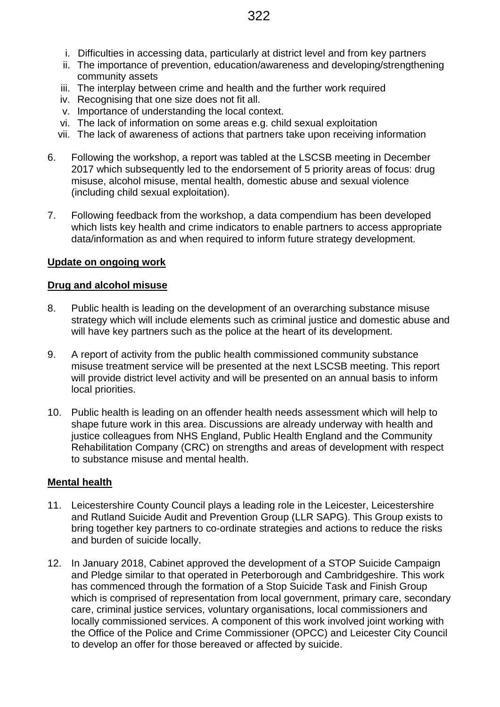- i. Difficulties in accessing data, particularly at district level and from key partners
- ii. The importance of prevention, education/awareness and developing/strengthening community assets
- iii. The interplay between crime and health and the further work required
- iv. Recognising that one size does not fit all.
- v. Importance of understanding the local context.
- vi. The lack of information on some areas e.g. child sexual exploitation
- vii. The lack of awareness of actions that partners take upon receiving information
- 6. Following the workshop, a report was tabled at the LSCSB meeting in December 2017 which subsequently led to the endorsement of 5 priority areas of focus: drug misuse, alcohol misuse, mental health, domestic abuse and sexual violence (including child sexual exploitation).
- 7. Following feedback from the workshop, a data compendium has been developed which lists key health and crime indicators to enable partners to access appropriate data/information as and when required to inform future strategy development.

#### **Update on ongoing work**

#### **Drug and alcohol misuse**

- 8. Public health is leading on the development of an overarching substance misuse strategy which will include elements such as criminal justice and domestic abuse and will have key partners such as the police at the heart of its development.
- 9. A report of activity from the public health commissioned community substance misuse treatment service will be presented at the next LSCSB meeting. This report will provide district level activity and will be presented on an annual basis to inform local priorities.
- 10. Public health is leading on an offender health needs assessment which will help to shape future work in this area. Discussions are already underway with health and justice colleagues from NHS England, Public Health England and the Community Rehabilitation Company (CRC) on strengths and areas of development with respect to substance misuse and mental health.

#### **Mental health**

- 11. Leicestershire County Council plays a leading role in the Leicester, Leicestershire and Rutland Suicide Audit and Prevention Group (LLR SAPG). This Group exists to bring together key partners to co-ordinate strategies and actions to reduce the risks and burden of suicide locally.
- 12. In January 2018, Cabinet approved the development of a STOP Suicide Campaign and Pledge similar to that operated in Peterborough and Cambridgeshire. This work has commenced through the formation of a Stop Suicide Task and Finish Group which is comprised of representation from local government, primary care, secondary care, criminal justice services, voluntary organisations, local commissioners and locally commissioned services. A component of this work involved joint working with the Office of the Police and Crime Commissioner (OPCC) and Leicester City Council to develop an offer for those bereaved or affected by suicide.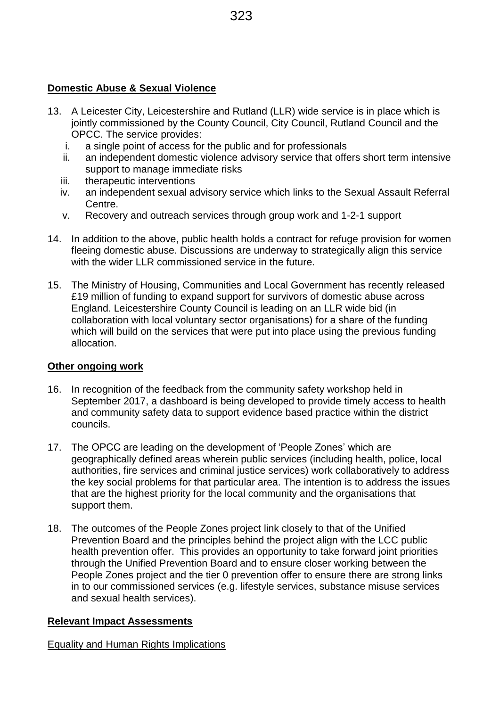## **Domestic Abuse & Sexual Violence**

- 13. A Leicester City, Leicestershire and Rutland (LLR) wide service is in place which is jointly commissioned by the County Council, City Council, Rutland Council and the OPCC. The service provides:
	- i. a single point of access for the public and for professionals
	- ii. an independent domestic violence advisory service that offers short term intensive support to manage immediate risks
	- iii. therapeutic interventions
	- iv. an independent sexual advisory service which links to the Sexual Assault Referral Centre.
	- v. Recovery and outreach services through group work and 1-2-1 support
- 14. In addition to the above, public health holds a contract for refuge provision for women fleeing domestic abuse. Discussions are underway to strategically align this service with the wider LLR commissioned service in the future.
- 15. The Ministry of Housing, Communities and Local Government has recently released £19 million of funding to expand support for survivors of domestic abuse across England. Leicestershire County Council is leading on an LLR wide bid (in collaboration with local voluntary sector organisations) for a share of the funding which will build on the services that were put into place using the previous funding allocation.

## **Other ongoing work**

- 16. In recognition of the feedback from the community safety workshop held in September 2017, a dashboard is being developed to provide timely access to health and community safety data to support evidence based practice within the district councils.
- 17. The OPCC are leading on the development of 'People Zones' which are geographically defined areas wherein public services (including health, police, local authorities, fire services and criminal justice services) work collaboratively to address the key social problems for that particular area. The intention is to address the issues that are the highest priority for the local community and the organisations that support them.
- 18. The outcomes of the People Zones project link closely to that of the Unified Prevention Board and the principles behind the project align with the LCC public health prevention offer. This provides an opportunity to take forward joint priorities through the Unified Prevention Board and to ensure closer working between the People Zones project and the tier 0 prevention offer to ensure there are strong links in to our commissioned services (e.g. lifestyle services, substance misuse services and sexual health services).

# **Relevant Impact Assessments**

Equality and Human Rights Implications